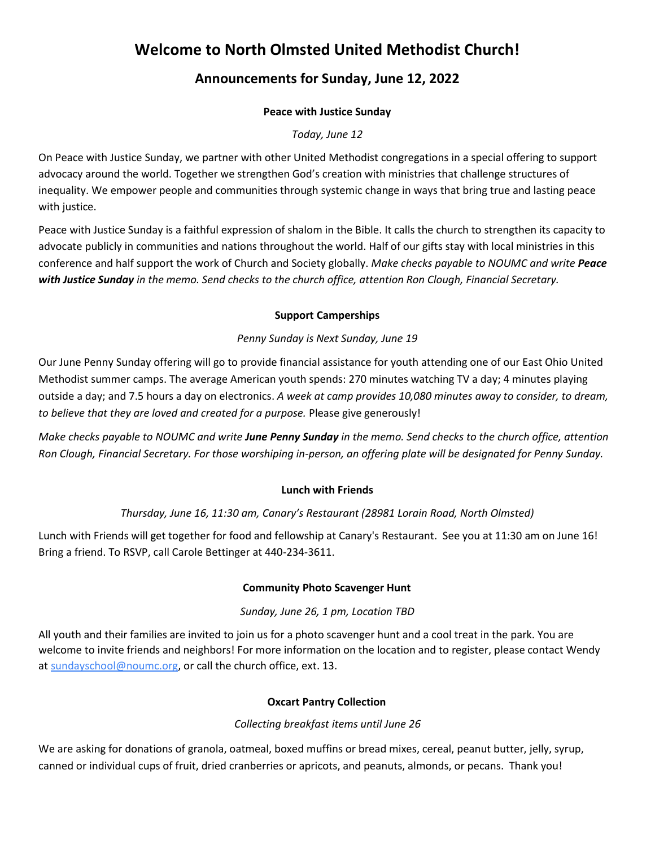# **Welcome to North Olmsted United Methodist Church!**

# **Announcements for Sunday, June 12, 2022**

## **Peace with Justice Sunday**

# *Today, June 12*

On Peace with Justice Sunday, we partner with other United Methodist congregations in a special offering to support advocacy around the world. Together we strengthen God's creation with ministries that challenge structures of inequality. We empower people and communities through systemic change in ways that bring true and lasting peace with justice.

Peace with Justice Sunday is a faithful expression of shalom in the Bible. It calls the church to strengthen its capacity to advocate publicly in communities and nations throughout the world. Half of our gifts stay with local ministries in this conference and half support the work of Church and Society globally. *Make checks payable to NOUMC and write Peace with Justice Sunday in the memo. Send checks to the church office, attention Ron Clough, Financial Secretary.*

## **Support Camperships**

# *Penny Sunday is Next Sunday, June 19*

Our June Penny Sunday offering will go to provide financial assistance for youth attending one of our East Ohio United Methodist summer camps. The average American youth spends: 270 minutes watching TV a day; 4 minutes playing outside a day; and 7.5 hours a day on electronics. *A week at camp provides 10,080 minutes away to consider, to dream, to believe that they are loved and created for a purpose.* Please give generously!

*Make checks payable to NOUMC and write June Penny Sunday in the memo. Send checks to the church office, attention Ron Clough, Financial Secretary. For those worshiping in-person, an offering plate will be designated for Penny Sunday.*

#### **Lunch with Friends**

# *Thursday, June 16, 11:30 am, Canary's Restaurant (28981 Lorain Road, North Olmsted)*

Lunch with Friends will get together for food and fellowship at Canary's Restaurant. See you at 11:30 am on June 16! Bring a friend. To RSVP, call Carole Bettinger at 440-234-3611.

#### **Community Photo Scavenger Hunt**

#### *Sunday, June 26, 1 pm, Location TBD*

All youth and their families are invited to join us for a photo scavenger hunt and a cool treat in the park. You are welcome to invite friends and neighbors! For more information on the location and to register, please contact Wendy at [sundayschool@noumc.org,](mailto:sundayschool@noumc.org) or call the church office, ext. 13.

#### **Oxcart Pantry Collection**

# *Collecting breakfast items until June 26*

We are asking for donations of granola, oatmeal, boxed muffins or bread mixes, cereal, peanut butter, jelly, syrup, canned or individual cups of fruit, dried cranberries or apricots, and peanuts, almonds, or pecans. Thank you!